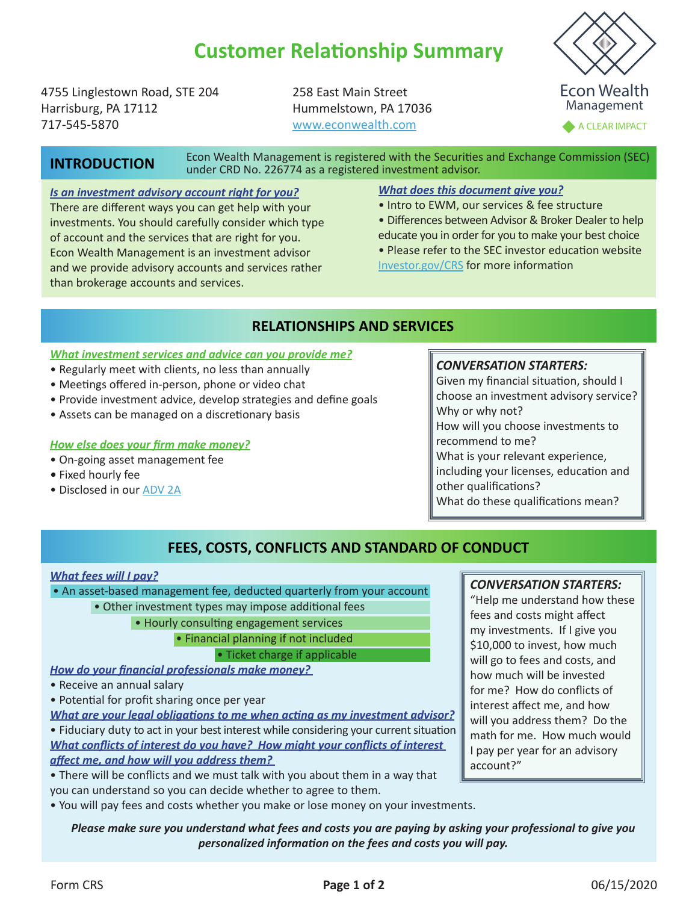# **Customer Relationship Summary**

4755 Linglestown Road, STE 204 Harrisburg, PA 17112 717-545-5870

258 East Main Street Hummelstown, PA 17036 [www.econwealth.com](https://www.econwealth.com)

Econ Wealth Management

A CLEAR IMPACT

# **INTRODUCTION**

Econ Wealth Management is registered with the Securities and Exchange Commission (SEC) under CRD No. 226774 as a registered investment advisor.

#### *Is an investment advisory account right for you?*

There are different ways you can get help with your investments. You should carefully consider which type of account and the services that are right for you. Econ Wealth Management is an investment advisor and we provide advisory accounts and services rather than brokerage accounts and services.

### *What does this document give you?*

- Intro to EWM, our services & fee structure
- Differences between Advisor & Broker Dealer to help educate you in order for you to make your best choice

• Please refer to the SEC investor education website [Investor.gov/CRS](http://investor.gov/CRS) for more information

### **RELATIONSHIPS AND SERVICES**

#### *What investment services and advice can you provide me?*

- Regularly meet with clients, no less than annually
- Meetings offered in-person, phone or video chat
- Provide investment advice, develop strategies and define goals
- Assets can be managed on a discretionary basis

#### *How else does your firm make money?*

- On-going asset management fee
- Fixed hourly fee
- Disclosed in our [ADV 2A](https://2c345fa3-30a8-4084-b7d4-55198dd50a28.filesusr.com/ugd/68f103_b206b967fa164dcdaa4e0246b14fbc87.pdf)

### *CONVERSATION STARTERS:*

Given my financial situation, should I choose an investment advisory service? Why or why not? How will you choose investments to recommend to me? What is your relevant experience, including your licenses, education and other qualifications?

What do these qualifications mean?

# **FEES, COSTS, CONFLICTS AND STANDARD OF CONDUCT**

#### *What fees will I pay?*

• An asset-based management fee, deducted quarterly from your account

- Other investment types may impose additional fees
	- Hourly consulting engagement services

• Financial planning if not included

• Ticket charge if applicable

*How do your financial professionals make money?* 

- Receive an annual salary
- Potential for profit sharing once per year

*What are your legal obligations to me when acting as my investment advisor?* • Fiduciary duty to act in your best interest while considering your current situation *What conflicts of interest do you have? How might your conflicts of interest affect me, and how will you address them?* 

• There will be conflicts and we must talk with you about them in a way that you can understand so you can decide whether to agree to them.

• You will pay fees and costs whether you make or lose money on your investments.

### *Please make sure you understand what fees and costs you are paying by asking your professional to give you personalized information on the fees and costs you will pay.*

### *CONVERSATION STARTERS:*

"Help me understand how these fees and costs might affect my investments. If I give you \$10,000 to invest, how much will go to fees and costs, and how much will be invested for me? How do conflicts of interest affect me, and how will you address them? Do the math for me. How much would I pay per year for an advisory account?"